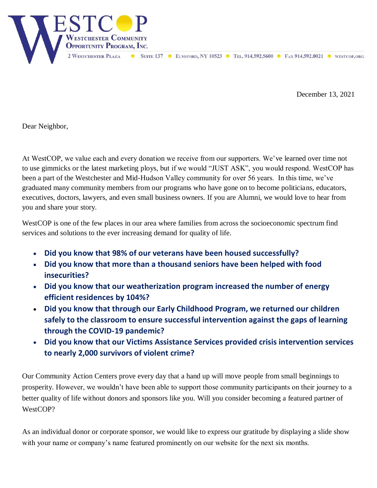

December 13, 2021

Dear Neighbor,

At WestCOP, we value each and every donation we receive from our supporters. We've learned over time not to use gimmicks or the latest marketing ploys, but if we would "JUST ASK", you would respond. WestCOP has been a part of the Westchester and Mid-Hudson Valley community for over 56 years. In this time, we've graduated many community members from our programs who have gone on to become politicians, educators, executives, doctors, lawyers, and even small business owners. If you are Alumni, we would love to hear from you and share your story.

WestCOP is one of the few places in our area where families from across the socioeconomic spectrum find services and solutions to the ever increasing demand for quality of life.

- **Did you know that 98% of our veterans have been housed successfully?**
- **Did you know that more than a thousand seniors have been helped with food insecurities?**
- **Did you know that our weatherization program increased the number of energy efficient residences by 104%?**
- **Did you know that through our Early Childhood Program, we returned our children safely to the classroom to ensure successful intervention against the gaps of learning through the COVID-19 pandemic?**
- **Did you know that our Victims Assistance Services provided crisis intervention services to nearly 2,000 survivors of violent crime?**

Our Community Action Centers prove every day that a hand up will move people from small beginnings to prosperity. However, we wouldn't have been able to support those community participants on their journey to a better quality of life without donors and sponsors like you. Will you consider becoming a featured partner of WestCOP?

As an individual donor or corporate sponsor, we would like to express our gratitude by displaying a slide show with your name or company's name featured prominently on our website for the next six months.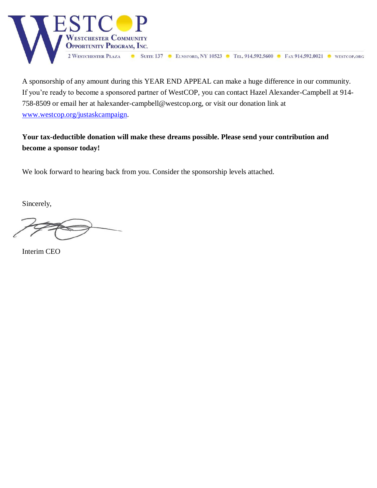

A sponsorship of any amount during this YEAR END APPEAL can make a huge difference in our community. If you're ready to become a sponsored partner of WestCOP, you can contact Hazel Alexander-Campbell at 914- 758-8509 or email her at halexander-campbell@westcop.org, or visit our donation link at [www.westcop.org/justaskcampaign.](http://www.westcop.org/justaskcampaign)

**Your tax-deductible donation will make these dreams possible. Please send your contribution and become a sponsor today!**

We look forward to hearing back from you. Consider the sponsorship levels attached.

Sincerely,

Interim CEO